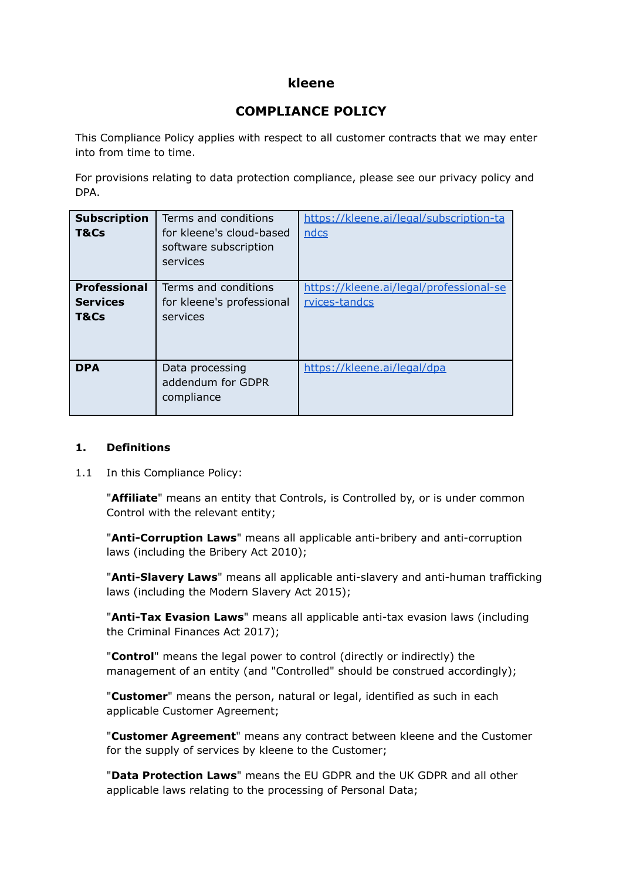# **kleene**

# **COMPLIANCE POLICY**

This Compliance Policy applies with respect to all customer contracts that we may enter into from time to time.

For provisions relating to data protection compliance, please see our privacy policy and DPA.

| <b>Subscription</b><br>T&Cs                    | Terms and conditions<br>for kleene's cloud-based<br>software subscription<br>services | https://kleene.ai/legal/subscription-ta<br>ndcs          |
|------------------------------------------------|---------------------------------------------------------------------------------------|----------------------------------------------------------|
| <b>Professional</b><br><b>Services</b><br>T&Cs | Terms and conditions<br>for kleene's professional<br>services                         | https://kleene.ai/legal/professional-se<br>rvices-tandcs |
| <b>DPA</b>                                     | Data processing<br>addendum for GDPR<br>compliance                                    | https://kleene.ai/legal/dpa                              |

## **1. Definitions**

1.1 In this Compliance Policy:

"**Affiliate**" means an entity that Controls, is Controlled by, or is under common Control with the relevant entity;

"**Anti-Corruption Laws**" means all applicable anti-bribery and anti-corruption laws (including the Bribery Act 2010);

"**Anti-Slavery Laws**" means all applicable anti-slavery and anti-human trafficking laws (including the Modern Slavery Act 2015);

"**Anti-Tax Evasion Laws**" means all applicable anti-tax evasion laws (including the Criminal Finances Act 2017);

"**Control**" means the legal power to control (directly or indirectly) the management of an entity (and "Controlled" should be construed accordingly);

"**Customer**" means the person, natural or legal, identified as such in each applicable Customer Agreement;

"**Customer Agreement**" means any contract between kleene and the Customer for the supply of services by kleene to the Customer;

"**Data Protection Laws**" means the EU GDPR and the UK GDPR and all other applicable laws relating to the processing of Personal Data;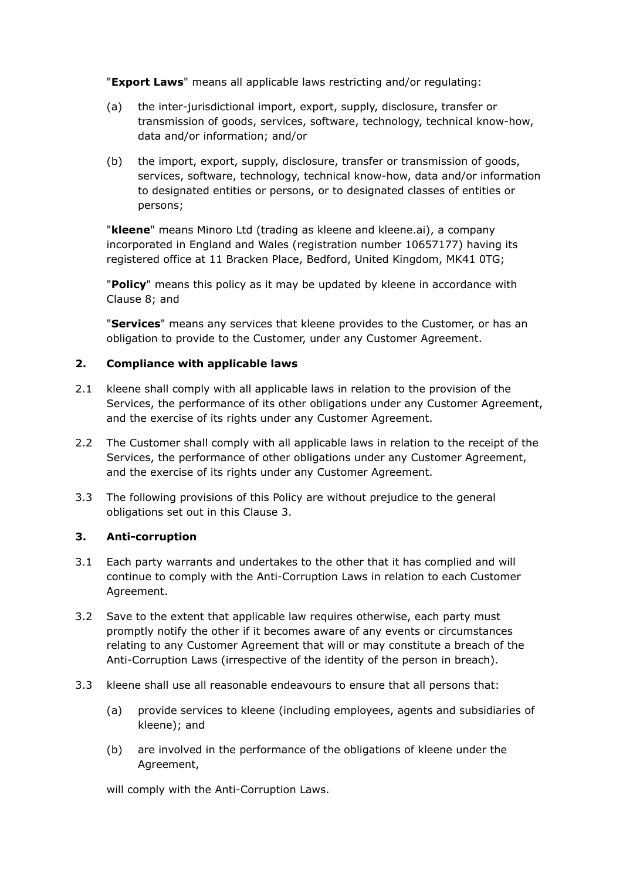"**Export Laws**" means all applicable laws restricting and/or regulating:

- (a) the inter-jurisdictional import, export, supply, disclosure, transfer or transmission of goods, services, software, technology, technical know-how, data and/or information; and/or
- (b) the import, export, supply, disclosure, transfer or transmission of goods, services, software, technology, technical know-how, data and/or information to designated entities or persons, or to designated classes of entities or persons;

"**kleene**" means Minoro Ltd (trading as kleene and kleene.ai), a company incorporated in England and Wales (registration number 10657177) having its registered office at 11 Bracken Place, Bedford, United Kingdom, MK41 0TG;

"**Policy**" means this policy as it may be updated by kleene in accordance with Clause 8; and

"**Services**" means any services that kleene provides to the Customer, or has an obligation to provide to the Customer, under any Customer Agreement.

## **2. Compliance with applicable laws**

- 2.1 kleene shall comply with all applicable laws in relation to the provision of the Services, the performance of its other obligations under any Customer Agreement, and the exercise of its rights under any Customer Agreement.
- 2.2 The Customer shall comply with all applicable laws in relation to the receipt of the Services, the performance of other obligations under any Customer Agreement, and the exercise of its rights under any Customer Agreement.
- 3.3 The following provisions of this Policy are without prejudice to the general obligations set out in this Clause 3.

## **3. Anti-corruption**

- 3.1 Each party warrants and undertakes to the other that it has complied and will continue to comply with the Anti-Corruption Laws in relation to each Customer Agreement.
- 3.2 Save to the extent that applicable law requires otherwise, each party must promptly notify the other if it becomes aware of any events or circumstances relating to any Customer Agreement that will or may constitute a breach of the Anti-Corruption Laws (irrespective of the identity of the person in breach).
- 3.3 kleene shall use all reasonable endeavours to ensure that all persons that:
	- (a) provide services to kleene (including employees, agents and subsidiaries of kleene); and
	- (b) are involved in the performance of the obligations of kleene under the Agreement,

will comply with the Anti-Corruption Laws.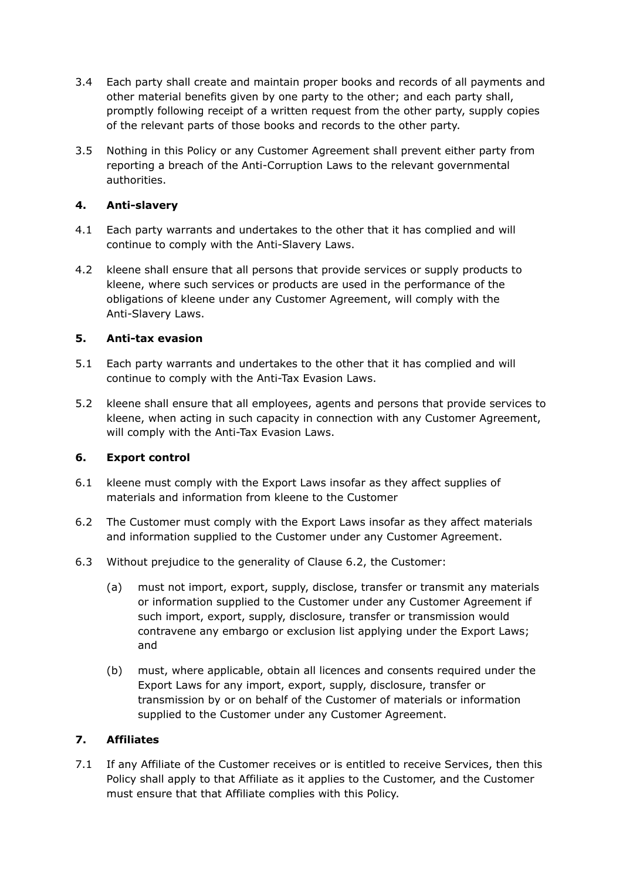- 3.4 Each party shall create and maintain proper books and records of all payments and other material benefits given by one party to the other; and each party shall, promptly following receipt of a written request from the other party, supply copies of the relevant parts of those books and records to the other party.
- 3.5 Nothing in this Policy or any Customer Agreement shall prevent either party from reporting a breach of the Anti-Corruption Laws to the relevant governmental authorities.

## **4. Anti-slavery**

- 4.1 Each party warrants and undertakes to the other that it has complied and will continue to comply with the Anti-Slavery Laws.
- 4.2 kleene shall ensure that all persons that provide services or supply products to kleene, where such services or products are used in the performance of the obligations of kleene under any Customer Agreement, will comply with the Anti-Slavery Laws.

## **5. Anti-tax evasion**

- 5.1 Each party warrants and undertakes to the other that it has complied and will continue to comply with the Anti-Tax Evasion Laws.
- 5.2 kleene shall ensure that all employees, agents and persons that provide services to kleene, when acting in such capacity in connection with any Customer Agreement, will comply with the Anti-Tax Evasion Laws.

## **6. Export control**

- 6.1 kleene must comply with the Export Laws insofar as they affect supplies of materials and information from kleene to the Customer
- 6.2 The Customer must comply with the Export Laws insofar as they affect materials and information supplied to the Customer under any Customer Agreement.
- 6.3 Without prejudice to the generality of Clause 6.2, the Customer:
	- (a) must not import, export, supply, disclose, transfer or transmit any materials or information supplied to the Customer under any Customer Agreement if such import, export, supply, disclosure, transfer or transmission would contravene any embargo or exclusion list applying under the Export Laws; and
	- (b) must, where applicable, obtain all licences and consents required under the Export Laws for any import, export, supply, disclosure, transfer or transmission by or on behalf of the Customer of materials or information supplied to the Customer under any Customer Agreement.

# **7. Affiliates**

7.1 If any Affiliate of the Customer receives or is entitled to receive Services, then this Policy shall apply to that Affiliate as it applies to the Customer, and the Customer must ensure that that Affiliate complies with this Policy.